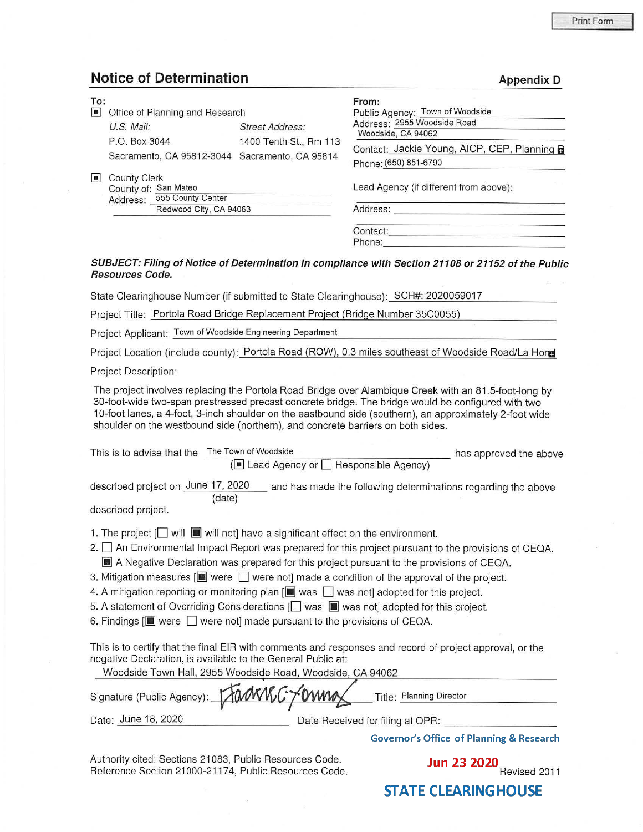**Appendix D** 

## **Notice of Determination**

| To:<br>$\vert \mathbf{B} \vert$ | Office of Planning and Research                                               |                                                  | From:<br>Public Agency: Town of Woodside                                                                                 |
|---------------------------------|-------------------------------------------------------------------------------|--------------------------------------------------|--------------------------------------------------------------------------------------------------------------------------|
|                                 | U.S. Mail:<br>P.O. Box 3044<br>Sacramento, CA 95812-3044 Sacramento, CA 95814 | <b>Street Address:</b><br>1400 Tenth St., Rm 113 | Address: 2955 Woodside Road<br>Woodside, CA 94062<br>Contact: Jackie Young, AICP, CEP, Planning<br>Phone: (650) 851-6790 |
| H                               | <b>County Clerk</b><br>County of: San Mateo<br>555 County Center<br>Address:  |                                                  | Lead Agency (if different from above):                                                                                   |
|                                 | Redwood City, CA 94063                                                        |                                                  | Address:<br>Contact:<br>Phone:                                                                                           |

## **SUBJECT: Filing of Notice of Determination in compliance with Section 21108 or 21152 of the Public Resources Code.**

State Clearinghouse Number (if submitted to State Clearinghouse): SCH#: 2020059017

Project Title: Portola Road Bridge Replacement Project (Bridge Number 35C0055)

Project Applicant: Town of Woodside Engineering Department

Project Location (include county): Portola Road (ROW), 0.3 miles southeast of Woodside Road/La **Hora** 

Project Description:

The project involves replacing the Portola Road Bridge over Alambique Creek with an 81.5-foot-long by 30-foot-wide two-span prestressed precast concrete bridge. The bridge would be configured with two 10-foot lanes, a 4-foot, 3-inch shoulder on the eastbound side (southern), an approximately 2-foot wide shoulder on the westbound side (northern), and concrete barriers on both sides.

| The Town of Woodside<br>This is to advise that the<br>has approved the above<br>(■ Lead Agency or Besponsible Agency)                                                                                                                                                                                                                                                                                                                                                                                                                                                                                                                                                                                                    |  |  |  |  |  |
|--------------------------------------------------------------------------------------------------------------------------------------------------------------------------------------------------------------------------------------------------------------------------------------------------------------------------------------------------------------------------------------------------------------------------------------------------------------------------------------------------------------------------------------------------------------------------------------------------------------------------------------------------------------------------------------------------------------------------|--|--|--|--|--|
| described project on June 17, 2020<br>and has made the following determinations regarding the above<br>(date)<br>described project.                                                                                                                                                                                                                                                                                                                                                                                                                                                                                                                                                                                      |  |  |  |  |  |
| 1. The project [ will $\blacksquare$ will not] have a significant effect on the environment.<br>2. □ An Environmental Impact Report was prepared for this project pursuant to the provisions of CEQA.<br>A Negative Declaration was prepared for this project pursuant to the provisions of CEQA.<br>3. Mitigation measures $[\blacksquare]$ were $\Box$ were not] made a condition of the approval of the project.<br>4. A mitigation reporting or monitoring plan [I] was $\Box$ was not] adopted for this project.<br>5. A statement of Overriding Considerations $\Box$ was $\Box$ was not] adopted for this project.<br>6. Findings $[\blacksquare]$ were $\Box$ were not] made pursuant to the provisions of CEQA. |  |  |  |  |  |
| This is to certify that the final EIR with comments and responses and record of project approval, or the<br>negative Declaration, is available to the General Public at:<br>Woodside Town Hall, 2955 Woodside Road, Woodside, CA 94062<br>Signature (Public Agency):<br>Title: Planning Director                                                                                                                                                                                                                                                                                                                                                                                                                         |  |  |  |  |  |
| Date: June 18, 2020<br>Date Received for filing at OPR:<br><b>Governor's Office of Planning &amp; Research</b>                                                                                                                                                                                                                                                                                                                                                                                                                                                                                                                                                                                                           |  |  |  |  |  |

Authority cited: Sections 21083, Public Resources Code. Authority cited: Sections 21083, Public Resources Code. **Jun 23 2020**<br>Reference Section 21000-21174, Public Resources Code. **Revised 2011** 

**STATE CLEARINGHOUSE**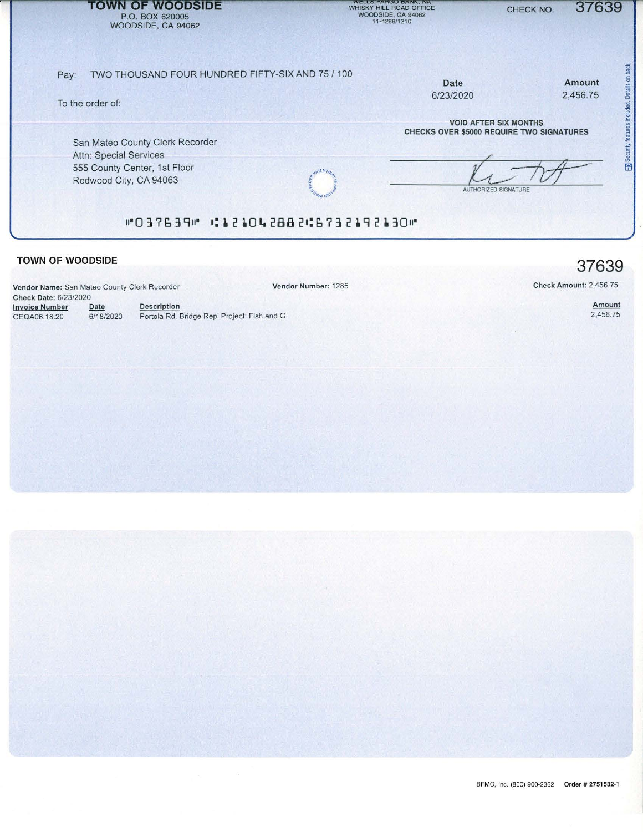| <b>TOWN OF WOODSIDE</b><br>P.O. BOX 620005<br>WOODSIDE, CA 94062                                                           | <b>WELLS FARGU BANK, NA</b><br>WHISKY HILL ROAD OFFICE<br>WOODSIDE, CA 94062<br>11-4288/1210             | 37639<br>CHECK NO.                    |
|----------------------------------------------------------------------------------------------------------------------------|----------------------------------------------------------------------------------------------------------|---------------------------------------|
| TWO THOUSAND FOUR HUNDRED FIFTY-SIX AND 75 / 100<br>Pay:<br>To the order of:                                               | Date<br>6/23/2020                                                                                        | Details on back<br>Amount<br>2,456.75 |
| San Mateo County Clerk Recorder<br><b>Attn: Special Services</b><br>555 County Center, 1st Floor<br>Redwood City, CA 94063 | <b>VOID AFTER SIX MONTHS</b><br><b>CHECKS OVER \$5000 REQUIRE TWO SIGNATURES</b><br>AUTHORIZED SIGNATURE | Sec<br>F                              |
| #037639# #121042882#6732192130#                                                                                            |                                                                                                          |                                       |

Vendor Number: 1285

## **TOWN OF WOODSIDE**

**Vendor Name:** San Mateo County Clerk Recorder **Check Date:** 6/23/2020 Invoice Number Date Description CEQA06.18.20 Date

6/18/2020 Portola Rd. Bridge Repl Project: Fish and G

Check Amount: 2,456.75

Amount 2,456.75

**37639**